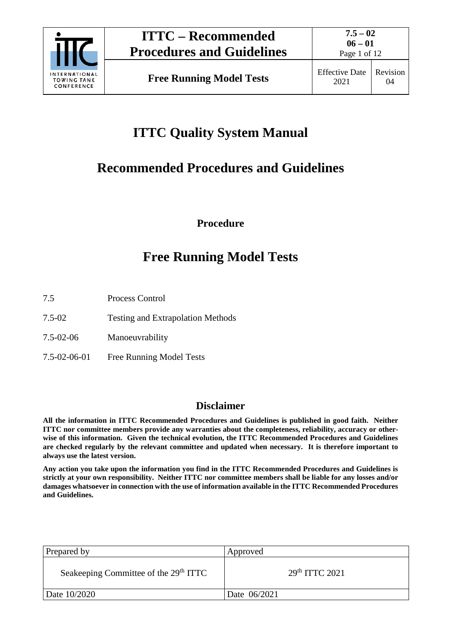

Page 1 of 12

# **ITTC Quality System Manual**

# **Recommended Procedures and Guidelines**

**Procedure**

# **Free Running Model Tests**

- 7.5 Process Control
- 7.5-02 Testing and Extrapolation Methods
- 7.5-02-06 Manoeuvrability
- 7.5-02-06-01 Free Running Model Tests

## **Disclaimer**

**All the information in ITTC Recommended Procedures and Guidelines is published in good faith. Neither ITTC nor committee members provide any warranties about the completeness, reliability, accuracy or otherwise of this information. Given the technical evolution, the ITTC Recommended Procedures and Guidelines are checked regularly by the relevant committee and updated when necessary. It is therefore important to always use the latest version.**

**Any action you take upon the information you find in the ITTC Recommended Procedures and Guidelines is strictly at your own responsibility. Neither ITTC nor committee members shall be liable for any losses and/or damages whatsoever in connection with the use of information available in the ITTC Recommended Procedures and Guidelines.**

| Prepared by                                       | Approved         |
|---------------------------------------------------|------------------|
| Seakeeping Committee of the 29 <sup>th</sup> ITTC | $29th$ ITTC 2021 |
| Date 10/2020                                      | Date 06/2021     |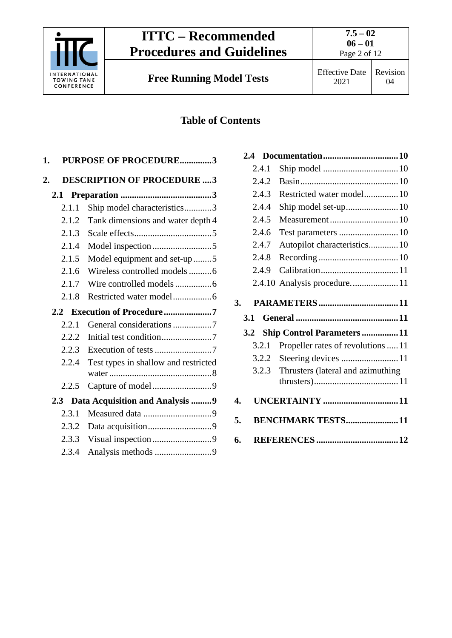

**Free Running Model Tests** Effective Date

# **Table of Contents**

| 1.    | <b>PURPOSE OF PROCEDURE3</b>         |
|-------|--------------------------------------|
| 2.    | <b>DESCRIPTION OF PROCEDURE 3</b>    |
| 2.1   |                                      |
| 2.1.1 | Ship model characteristics3          |
| 2.1.2 | Tank dimensions and water depth 4    |
| 2.1.3 |                                      |
| 2.1.4 |                                      |
| 2.1.5 | Model equipment and set-up 5         |
| 2.1.6 | Wireless controlled models6          |
| 2.1.7 |                                      |
| 2.1.8 |                                      |
|       |                                      |
|       | 2.2 Execution of Procedure7          |
| 2.2.1 | General considerations 7             |
| 2.2.2 |                                      |
| 2.2.3 | Execution of tests 7                 |
| 2.2.4 | Test types in shallow and restricted |
| 2.2.5 | Capture of model9                    |
| 2.3   | Data Acquisition and Analysis  9     |
| 2.3.1 |                                      |
| 2.3.2 |                                      |
| 2.3.3 |                                      |

|    | 2.4   |                                    |
|----|-------|------------------------------------|
|    | 2.4.1 |                                    |
|    | 2.4.2 |                                    |
|    | 2.4.3 | Restricted water model 10          |
|    | 2.4.4 |                                    |
|    | 2.4.5 | Measurement  10                    |
|    | 2.4.6 | Test parameters  10                |
|    | 2.4.7 | Autopilot characteristics 10       |
|    | 2.4.8 |                                    |
|    | 2.4.9 |                                    |
|    |       | 2.4.10 Analysis procedure 11       |
| 3. |       |                                    |
|    | 3.1   |                                    |
|    |       |                                    |
|    | 3.2   | <b>Ship Control Parameters  11</b> |
|    | 3.2.1 | Propeller rates of revolutions  11 |
|    | 3.2.2 | Steering devices 11                |
|    | 3.2.3 | Thrusters (lateral and azimuthing  |
| 4. |       | <b>UNCERTAINTY</b> 11              |
| 5. |       | <b>BENCHMARK TESTS 11</b>          |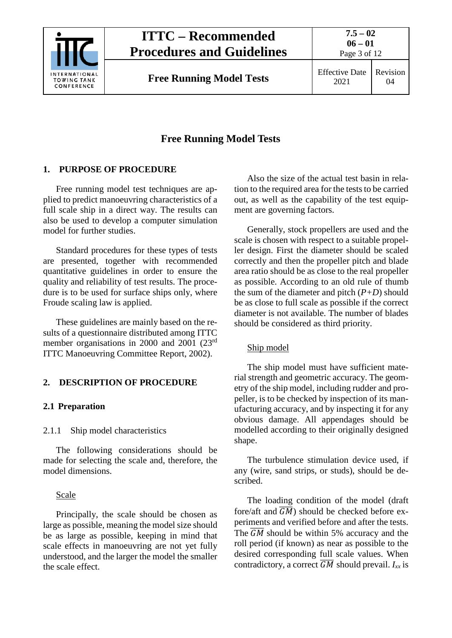

**7.5 – 02**

# Revision 04

# **Free Running Model Tests**

## <span id="page-2-0"></span>**1. PURPOSE OF PROCEDURE**

Free running model test techniques are applied to predict manoeuvring characteristics of a full scale ship in a direct way. The results can also be used to develop a computer simulation model for further studies.

Standard procedures for these types of tests are presented, together with recommended quantitative guidelines in order to ensure the quality and reliability of test results. The procedure is to be used for surface ships only, where Froude scaling law is applied.

These guidelines are mainly based on the results of a questionnaire distributed among ITTC member organisations in 2000 and 2001 (23<sup>rd</sup>) ITTC Manoeuvring Committee Report, 2002).

## <span id="page-2-2"></span><span id="page-2-1"></span>**2. DESCRIPTION OF PROCEDURE**

#### <span id="page-2-3"></span>**2.1 Preparation**

#### 2.1.1 Ship model characteristics

The following considerations should be made for selecting the scale and, therefore, the model dimensions.

#### Scale

Principally, the scale should be chosen as large as possible, meaning the model size should be as large as possible, keeping in mind that scale effects in manoeuvring are not yet fully understood, and the larger the model the smaller the scale effect.

Also the size of the actual test basin in relation to the required area for the tests to be carried out, as well as the capability of the test equipment are governing factors.

Generally, stock propellers are used and the scale is chosen with respect to a suitable propeller design. First the diameter should be scaled correctly and then the propeller pitch and blade area ratio should be as close to the real propeller as possible. According to an old rule of thumb the sum of the diameter and pitch (*P+D*) should be as close to full scale as possible if the correct diameter is not available. The number of blades should be considered as third priority.

## Ship model

The ship model must have sufficient material strength and geometric accuracy. The geometry of the ship model, including rudder and propeller, is to be checked by inspection of its manufacturing accuracy, and by inspecting it for any obvious damage. All appendages should be modelled according to their originally designed shape.

The turbulence stimulation device used, if any (wire, sand strips, or studs), should be described.

The loading condition of the model (draft fore/aft and  $\overline{GM}$ ) should be checked before experiments and verified before and after the tests. The  $\overline{GM}$  should be within 5% accuracy and the roll period (if known) as near as possible to the desired corresponding full scale values. When contradictory, a correct  $\overline{GM}$  should prevail.  $I_{xx}$  is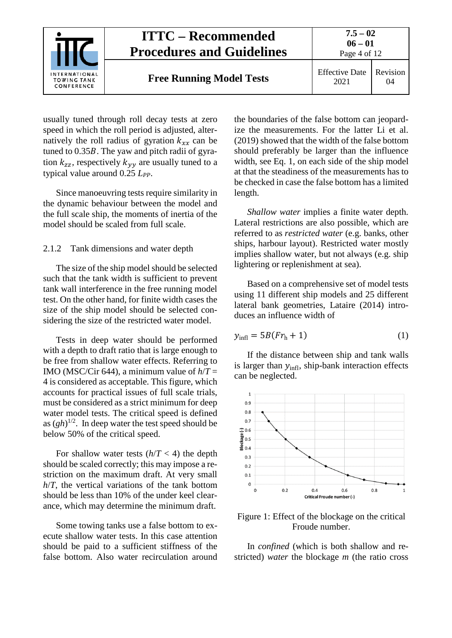

usually tuned through roll decay tests at zero speed in which the roll period is adjusted, alternatively the roll radius of gyration  $k_{xx}$  can be tuned to  $0.35B$ . The yaw and pitch radii of gyration  $k_{zz}$ , respectively  $k_{yy}$  are usually tuned to a typical value around 0.25 *LPP*.

Since manoeuvring tests require similarity in the dynamic behaviour between the model and the full scale ship, the moments of inertia of the model should be scaled from full scale.

#### <span id="page-3-0"></span>2.1.2 Tank dimensions and water depth

The size of the ship model should be selected such that the tank width is sufficient to prevent tank wall interference in the free running model test. On the other hand, for finite width cases the size of the ship model should be selected considering the size of the restricted water model.

Tests in deep water should be performed with a depth to draft ratio that is large enough to be free from shallow water effects. Referring to IMO (MSC/Cir 644), a minimum value of  $h/T =$ 4 is considered as acceptable. This figure, which accounts for practical issues of full scale trials, must be considered as a strict minimum for deep water model tests. The critical speed is defined as  $(gh)^{1/2}$ . In deep water the test speed should be below 50% of the critical speed.

For shallow water tests  $(h/T < 4)$  the depth should be scaled correctly; this may impose a restriction on the maximum draft. At very small *h*/*T*, the vertical variations of the tank bottom should be less than 10% of the under keel clearance, which may determine the minimum draft.

Some towing tanks use a false bottom to execute shallow water tests. In this case attention should be paid to a sufficient stiffness of the false bottom. Also water recirculation around the boundaries of the false bottom can jeopardize the measurements. For the latter Li et al. (2019) showed that the width of the false bottom should preferably be larger than the influence width, see Eq. 1, on each side of the ship model at that the steadiness of the measurements has to be checked in case the false bottom has a limited length.

*Shallow water* implies a finite water depth. Lateral restrictions are also possible, which are referred to as *restricted water* (e.g. banks, other ships, harbour layout). Restricted water mostly implies shallow water, but not always (e.g. ship lightering or replenishment at sea).

Based on a comprehensive set of model tests using 11 different ship models and 25 different lateral bank geometries, Lataire (2014) introduces an influence width of

$$
y_{\text{infl}} = 5B(Fr_{\text{h}} + 1) \tag{1}
$$

If the distance between ship and tank walls is larger than  $y_{\text{infl}}$ , ship-bank interaction effects can be neglected.



<span id="page-3-1"></span>Figure 1: Effect of the blockage on the critical Froude number.

In *confined* (which is both shallow and restricted) *water* the blockage *m* (the ratio cross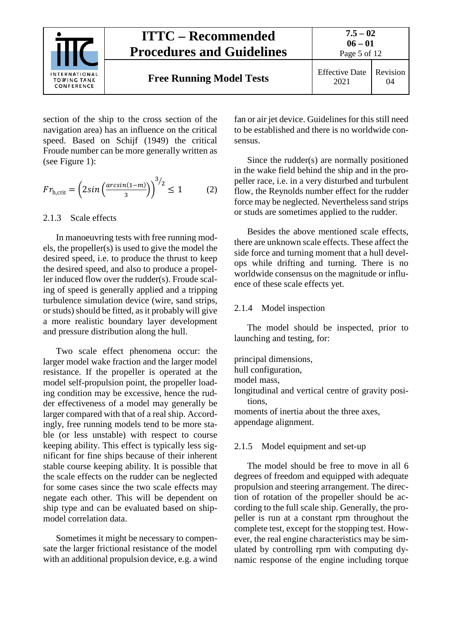

section of the ship to the cross section of the navigation area) has an influence on the critical speed. Based on Schijf (1949) the critical Froude number can be more generally written as (see [Figure 1\)](#page-3-1):

$$
Fr_{\text{h,crit}} = \left(2\sin\left(\frac{\arcsin(1-m)}{3}\right)\right)^{3/2} \le 1\tag{2}
$$

#### <span id="page-4-0"></span>2.1.3 Scale effects

In manoeuvring tests with free running models, the propeller(s) is used to give the model the desired speed, i.e. to produce the thrust to keep the desired speed, and also to produce a propeller induced flow over the rudder(s). Froude scaling of speed is generally applied and a tripping turbulence simulation device (wire, sand strips, or studs) should be fitted, as it probably will give a more realistic boundary layer development and pressure distribution along the hull.

Two scale effect phenomena occur: the larger model wake fraction and the larger model resistance. If the propeller is operated at the model self-propulsion point, the propeller loading condition may be excessive, hence the rudder effectiveness of a model may generally be larger compared with that of a real ship. Accordingly, free running models tend to be more stable (or less unstable) with respect to course keeping ability. This effect is typically less significant for fine ships because of their inherent stable course keeping ability. It is possible that the scale effects on the rudder can be neglected for some cases since the two scale effects may negate each other. This will be dependent on ship type and can be evaluated based on shipmodel correlation data.

Sometimes it might be necessary to compensate the larger frictional resistance of the model with an additional propulsion device, e.g. a wind

fan or air jet device. Guidelines for this still need to be established and there is no worldwide consensus.

Since the rudder(s) are normally positioned in the wake field behind the ship and in the propeller race, i.e. in a very disturbed and turbulent flow, the Reynolds number effect for the rudder force may be neglected. Nevertheless sand strips or studs are sometimes applied to the rudder.

Besides the above mentioned scale effects, there are unknown scale effects. These affect the side force and turning moment that a hull develops while drifting and turning. There is no worldwide consensus on the magnitude or influence of these scale effects yet.

#### <span id="page-4-1"></span>2.1.4 Model inspection

The model should be inspected, prior to launching and testing, for:

principal dimensions, hull configuration, model mass, longitudinal and vertical centre of gravity positions, moments of inertia about the three axes, appendage alignment.

#### <span id="page-4-2"></span>2.1.5 Model equipment and set-up

The model should be free to move in all 6 degrees of freedom and equipped with adequate propulsion and steering arrangement. The direction of rotation of the propeller should be according to the full scale ship. Generally, the propeller is run at a constant rpm throughout the complete test, except for the stopping test. However, the real engine characteristics may be simulated by controlling rpm with computing dynamic response of the engine including torque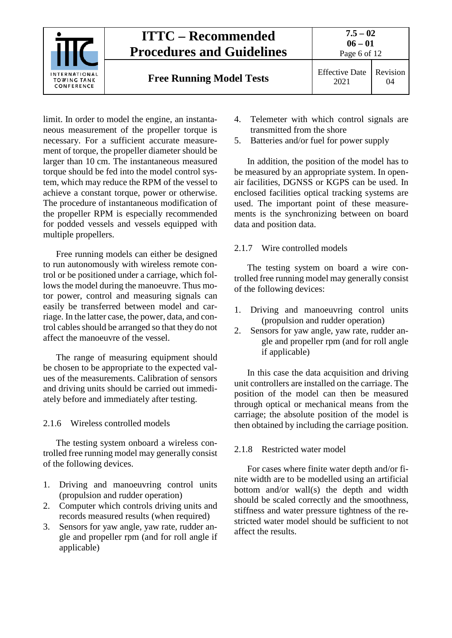

limit. In order to model the engine, an instantaneous measurement of the propeller torque is necessary. For a sufficient accurate measurement of torque, the propeller diameter should be larger than 10 cm. The instantaneous measured torque should be fed into the model control system, which may reduce the RPM of the vessel to achieve a constant torque, power or otherwise. The procedure of instantaneous modification of the propeller RPM is especially recommended for podded vessels and vessels equipped with multiple propellers.

Free running models can either be designed to run autonomously with wireless remote control or be positioned under a carriage, which follows the model during the manoeuvre. Thus motor power, control and measuring signals can easily be transferred between model and carriage. In the latter case, the power, data, and control cables should be arranged so that they do not affect the manoeuvre of the vessel.

The range of measuring equipment should be chosen to be appropriate to the expected values of the measurements. Calibration of sensors and driving units should be carried out immediately before and immediately after testing.

#### <span id="page-5-0"></span>2.1.6 Wireless controlled models

The testing system onboard a wireless controlled free running model may generally consist of the following devices.

- 1. Driving and manoeuvring control units (propulsion and rudder operation)
- 2. Computer which controls driving units and records measured results (when required)
- 3. Sensors for yaw angle, yaw rate, rudder angle and propeller rpm (and for roll angle if applicable)
- 4. Telemeter with which control signals are transmitted from the shore
- 5. Batteries and/or fuel for power supply

In addition, the position of the model has to be measured by an appropriate system. In openair facilities, DGNSS or KGPS can be used. In enclosed facilities optical tracking systems are used. The important point of these measurements is the synchronizing between on board data and position data.

#### <span id="page-5-1"></span>2.1.7 Wire controlled models

The testing system on board a wire controlled free running model may generally consist of the following devices:

- 1. Driving and manoeuvring control units (propulsion and rudder operation)
- 2. Sensors for yaw angle, yaw rate, rudder angle and propeller rpm (and for roll angle if applicable)

In this case the data acquisition and driving unit controllers are installed on the carriage. The position of the model can then be measured through optical or mechanical means from the carriage; the absolute position of the model is then obtained by including the carriage position.

#### <span id="page-5-2"></span>2.1.8 Restricted water model

For cases where finite water depth and/or finite width are to be modelled using an artificial bottom and/or wall(s) the depth and width should be scaled correctly and the smoothness, stiffness and water pressure tightness of the restricted water model should be sufficient to not affect the results.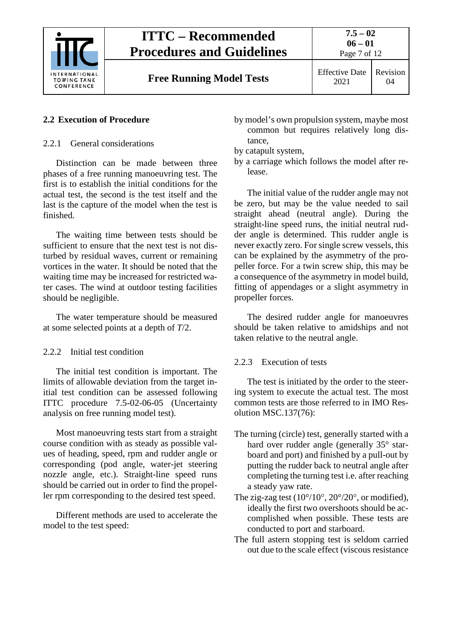

**Free Running Model Tests** Effective Date

2021

# Revision 04

# <span id="page-6-1"></span><span id="page-6-0"></span>**2.2 Execution of Procedure**

2.2.1 General considerations

Distinction can be made between three phases of a free running manoeuvring test. The first is to establish the initial conditions for the actual test, the second is the test itself and the last is the capture of the model when the test is finished.

The waiting time between tests should be sufficient to ensure that the next test is not disturbed by residual waves, current or remaining vortices in the water. It should be noted that the waiting time may be increased for restricted water cases. The wind at outdoor testing facilities should be negligible.

The water temperature should be measured at some selected points at a depth of *T*/2.

# <span id="page-6-2"></span>2.2.2 Initial test condition

The initial test condition is important. The limits of allowable deviation from the target initial test condition can be assessed following ITTC procedure 7.5-02-06-05 (Uncertainty analysis on free running model test).

Most manoeuvring tests start from a straight course condition with as steady as possible values of heading, speed, rpm and rudder angle or corresponding (pod angle, water-jet steering nozzle angle, etc.). Straight-line speed runs should be carried out in order to find the propeller rpm corresponding to the desired test speed.

Different methods are used to accelerate the model to the test speed:

by model's own propulsion system, maybe most common but requires relatively long distance,

by catapult system,

by a carriage which follows the model after release.

The initial value of the rudder angle may not be zero, but may be the value needed to sail straight ahead (neutral angle). During the straight-line speed runs, the initial neutral rudder angle is determined. This rudder angle is never exactly zero. For single screw vessels, this can be explained by the asymmetry of the propeller force. For a twin screw ship, this may be a consequence of the asymmetry in model build, fitting of appendages or a slight asymmetry in propeller forces.

The desired rudder angle for manoeuvres should be taken relative to amidships and not taken relative to the neutral angle.

# <span id="page-6-3"></span>2.2.3 Execution of tests

The test is initiated by the order to the steering system to execute the actual test. The most common tests are those referred to in IMO Resolution MSC.137(76):

- The turning (circle) test, generally started with a hard over rudder angle (generally 35° starboard and port) and finished by a pull-out by putting the rudder back to neutral angle after completing the turning test i.e. after reaching a steady yaw rate.
- The zig-zag test (10°/10°, 20°/20°, or modified), ideally the first two overshoots should be accomplished when possible. These tests are conducted to port and starboard.
- The full astern stopping test is seldom carried out due to the scale effect (viscous resistance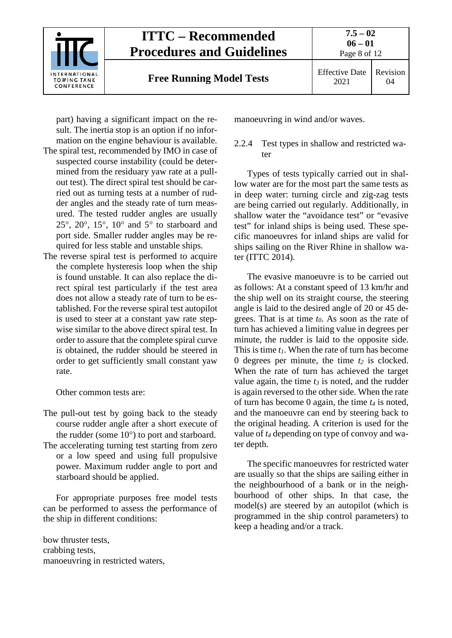

part) having a significant impact on the result. The inertia stop is an option if no information on the engine behaviour is available.

- The spiral test, recommended by IMO in case of suspected course instability (could be determined from the residuary yaw rate at a pullout test). The direct spiral test should be carried out as turning tests at a number of rudder angles and the steady rate of turn measured. The tested rudder angles are usually 25°, 20°, 15°, 10° and 5° to starboard and port side. Smaller rudder angles may be required for less stable and unstable ships.
- The reverse spiral test is performed to acquire the complete hysteresis loop when the ship is found unstable. It can also replace the direct spiral test particularly if the test area does not allow a steady rate of turn to be established. For the reverse spiral test autopilot is used to steer at a constant yaw rate stepwise similar to the above direct spiral test. In order to assure that the complete spiral curve is obtained, the rudder should be steered in order to get sufficiently small constant yaw rate.

Other common tests are:

The pull-out test by going back to the steady course rudder angle after a short execute of the rudder (some 10°) to port and starboard. The accelerating turning test starting from zero or a low speed and using full propulsive power. Maximum rudder angle to port and starboard should be applied.

For appropriate purposes free model tests can be performed to assess the performance of the ship in different conditions:

bow thruster tests, crabbing tests, manoeuvring in restricted waters, manoeuvring in wind and/or waves.

#### <span id="page-7-0"></span>2.2.4 Test types in shallow and restricted water

Types of tests typically carried out in shallow water are for the most part the same tests as in deep water: turning circle and zig-zag tests are being carried out regularly. Additionally, in shallow water the "avoidance test" or "evasive test" for inland ships is being used. These specific manoeuvres for inland ships are valid for ships sailing on the River Rhine in shallow water (ITTC 2014).

The evasive manoeuvre is to be carried out as follows: At a constant speed of 13 km/hr and the ship well on its straight course, the steering angle is laid to the desired angle of 20 or 45 degrees. That is at time *t0*. As soon as the rate of turn has achieved a limiting value in degrees per minute, the rudder is laid to the opposite side. This is time *t1*. When the rate of turn has become 0 degrees per minute, the time  $t_2$  is clocked. When the rate of turn has achieved the target value again, the time *t3* is noted, and the rudder is again reversed to the other side. When the rate of turn has become 0 again, the time *t4* is noted, and the manoeuvre can end by steering back to the original heading. A criterion is used for the value of *t4* depending on type of convoy and water depth.

The specific manoeuvres for restricted water are usually so that the ships are sailing either in the neighbourhood of a bank or in the neighbourhood of other ships. In that case, the model(s) are steered by an autopilot (which is programmed in the ship control parameters) to keep a heading and/or a track.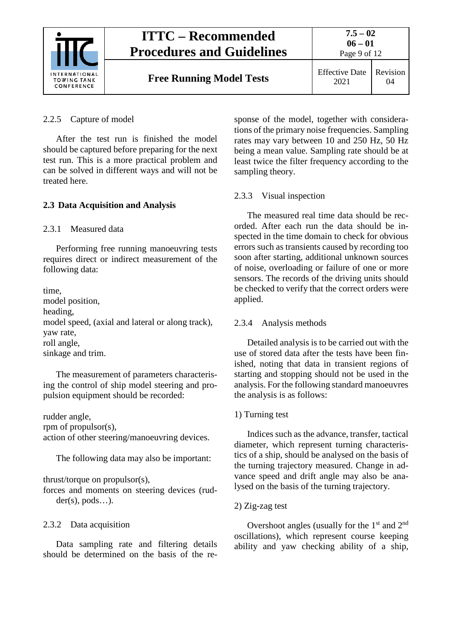

Page 9 of 12

**Free Running Model Tests** Effective Date

2021 Revision 04

<span id="page-8-0"></span>2.2.5 Capture of model

After the test run is finished the model should be captured before preparing for the next test run. This is a more practical problem and can be solved in different ways and will not be treated here.

# <span id="page-8-2"></span><span id="page-8-1"></span>**2.3 Data Acquisition and Analysis**

2.3.1 Measured data

Performing free running manoeuvring tests requires direct or indirect measurement of the following data:

time, model position, heading, model speed, (axial and lateral or along track), yaw rate, roll angle, sinkage and trim.

The measurement of parameters characterising the control of ship model steering and propulsion equipment should be recorded:

rudder angle, rpm of propulsor(s), action of other steering/manoeuvring devices.

The following data may also be important:

thrust/torque on propulsor(s),

forces and moments on steering devices (rud $der(s), \text{pods}...$ .

# <span id="page-8-3"></span>2.3.2 Data acquisition

Data sampling rate and filtering details should be determined on the basis of the response of the model, together with considerations of the primary noise frequencies. Sampling rates may vary between 10 and 250 Hz, 50 Hz being a mean value. Sampling rate should be at least twice the filter frequency according to the sampling theory.

# <span id="page-8-4"></span>2.3.3 Visual inspection

The measured real time data should be recorded. After each run the data should be inspected in the time domain to check for obvious errors such as transients caused by recording too soon after starting, additional unknown sources of noise, overloading or failure of one or more sensors. The records of the driving units should be checked to verify that the correct orders were applied.

# <span id="page-8-5"></span>2.3.4 Analysis methods

Detailed analysis is to be carried out with the use of stored data after the tests have been finished, noting that data in transient regions of starting and stopping should not be used in the analysis. For the following standard manoeuvres the analysis is as follows:

# 1) Turning test

Indices such as the advance, transfer, tactical diameter, which represent turning characteristics of a ship, should be analysed on the basis of the turning trajectory measured. Change in advance speed and drift angle may also be analysed on the basis of the turning trajectory.

# 2) Zig-zag test

Overshoot angles (usually for the  $1<sup>st</sup>$  and  $2<sup>nd</sup>$ oscillations), which represent course keeping ability and yaw checking ability of a ship,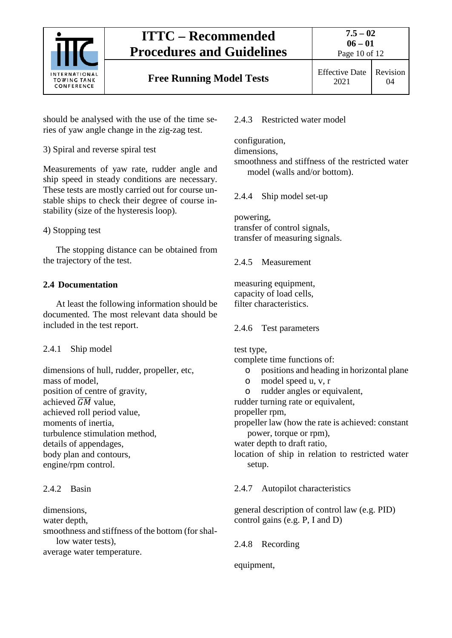

# **Free Running Model Tests** Effective Date

should be analysed with the use of the time series of yaw angle change in the zig-zag test.

3) Spiral and reverse spiral test

Measurements of yaw rate, rudder angle and ship speed in steady conditions are necessary. These tests are mostly carried out for course unstable ships to check their degree of course instability (size of the hysteresis loop).

## 4) Stopping test

The stopping distance can be obtained from the trajectory of the test.

## <span id="page-9-0"></span>**2.4 Documentation**

At least the following information should be documented. The most relevant data should be included in the test report.

## <span id="page-9-1"></span>2.4.1 Ship model

dimensions of hull, rudder, propeller, etc, mass of model, position of centre of gravity, achieved  $\overline{GM}$  value, achieved roll period value, moments of inertia, turbulence stimulation method, details of appendages, body plan and contours, engine/rpm control.

## <span id="page-9-2"></span>2.4.2 Basin

dimensions,

water depth,

smoothness and stiffness of the bottom (for shallow water tests),

average water temperature.

<span id="page-9-3"></span>2.4.3 Restricted water model

configuration,

dimensions,

smoothness and stiffness of the restricted water model (walls and/or bottom).

<span id="page-9-4"></span>2.4.4 Ship model set-up

powering,

transfer of control signals, transfer of measuring signals.

<span id="page-9-5"></span>2.4.5 Measurement

measuring equipment, capacity of load cells, filter characteristics.

<span id="page-9-6"></span>2.4.6 Test parameters

test type,

complete time functions of:

- o positions and heading in horizontal plane
- o model speed u, v, r
- o rudder angles or equivalent,

rudder turning rate or equivalent,

propeller rpm,

propeller law (how the rate is achieved: constant power, torque or rpm),

water depth to draft ratio,

location of ship in relation to restricted water setup.

<span id="page-9-7"></span>2.4.7 Autopilot characteristics

general description of control law (e.g. PID) control gains (e.g. P, I and D)

<span id="page-9-8"></span>2.4.8 Recording

equipment,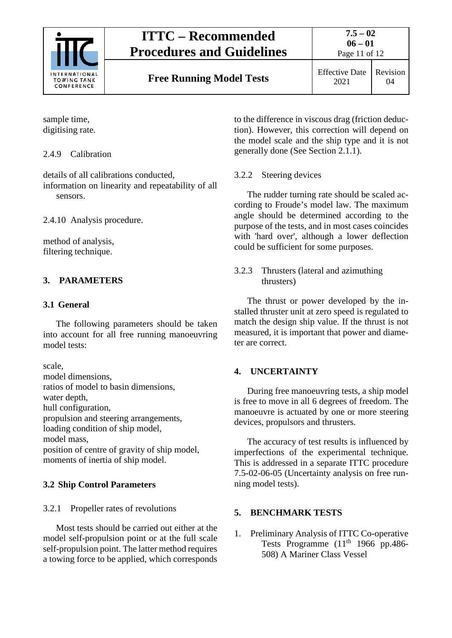

Page 11 of 12

**Free Running Model Tests** Effective Date

2021 Revision 04

sample time, digitising rate.

## <span id="page-10-0"></span>2.4.9 Calibration

details of all calibrations conducted, information on linearity and repeatability of all

sensors.

<span id="page-10-1"></span>2.4.10 Analysis procedure.

method of analysis, filtering technique.

## <span id="page-10-3"></span><span id="page-10-2"></span>**3. PARAMETERS**

### **3.1 General**

The following parameters should be taken into account for all free running manoeuvring model tests:

scale,

model dimensions, ratios of model to basin dimensions,

water depth,

hull configuration,

propulsion and steering arrangements,

loading condition of ship model,

model mass,

position of centre of gravity of ship model, moments of inertia of ship model.

## <span id="page-10-5"></span><span id="page-10-4"></span>**3.2 Ship Control Parameters**

## 3.2.1 Propeller rates of revolutions

Most tests should be carried out either at the model self-propulsion point or at the full scale self-propulsion point. The latter method requires a towing force to be applied, which corresponds

to the difference in viscous drag (friction deduction). However, this correction will depend on the model scale and the ship type and it is not generally done (See Section 2.1.1).

## <span id="page-10-6"></span>3.2.2 Steering devices

The rudder turning rate should be scaled according to Froude's model law. The maximum angle should be determined according to the purpose of the tests, and in most cases coincides with 'hard over', although a lower deflection could be sufficient for some purposes.

#### <span id="page-10-7"></span>3.2.3 Thrusters (lateral and azimuthing thrusters)

The thrust or power developed by the installed thruster unit at zero speed is regulated to match the design ship value. If the thrust is not measured, it is important that power and diameter are correct.

## <span id="page-10-8"></span>**4. UNCERTAINTY**

During free manoeuvring tests, a ship model is free to move in all 6 degrees of freedom. The manoeuvre is actuated by one or more steering devices, propulsors and thrusters.

The accuracy of test results is influenced by imperfections of the experimental technique. This is addressed in a separate ITTC procedure 7.5-02-06-05 (Uncertainty analysis on free running model tests).

## <span id="page-10-9"></span>**5. BENCHMARK TESTS**

1. Preliminary Analysis of ITTC Co-operative Tests Programme  $(11<sup>th</sup> 1966$  pp.486-508) A Mariner Class Vessel